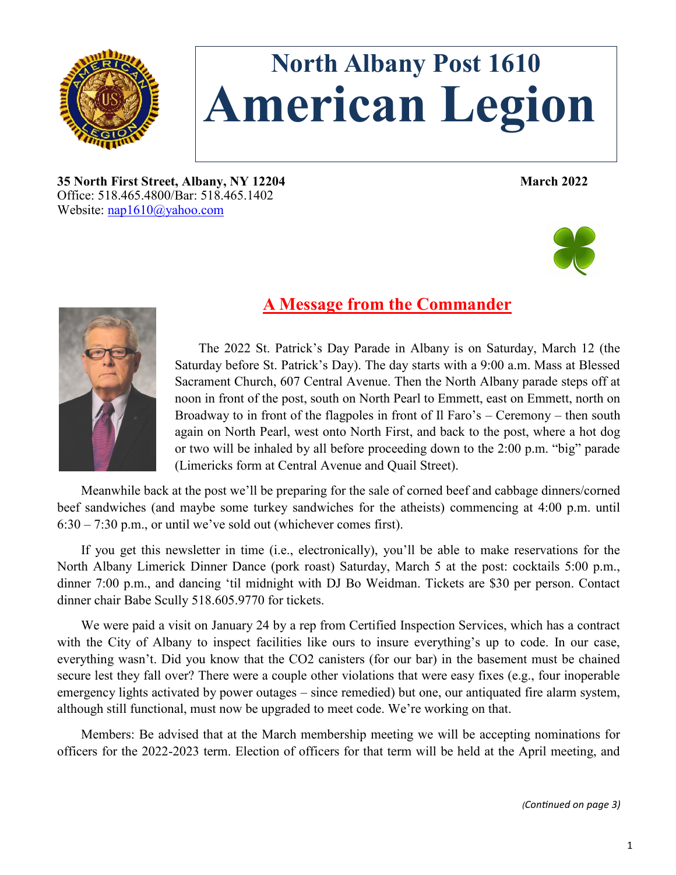

# **North Albany Post 1610 American Legion**

**35 North First Street, Albany, NY 12204 March 2022** Office: 518.465.4800/Bar: 518.465.1402 Website: [nap1610@yahoo.com](mailto:nap1610@yahoo.com)



# **A Message from the Commander**



The 2022 St. Patrick's Day Parade in Albany is on Saturday, March 12 (the Saturday before St. Patrick's Day). The day starts with a 9:00 a.m. Mass at Blessed Sacrament Church, 607 Central Avenue. Then the North Albany parade steps off at noon in front of the post, south on North Pearl to Emmett, east on Emmett, north on Broadway to in front of the flagpoles in front of Il Faro's – Ceremony – then south again on North Pearl, west onto North First, and back to the post, where a hot dog or two will be inhaled by all before proceeding down to the 2:00 p.m. "big" parade (Limericks form at Central Avenue and Quail Street).

Meanwhile back at the post we'll be preparing for the sale of corned beef and cabbage dinners/corned beef sandwiches (and maybe some turkey sandwiches for the atheists) commencing at 4:00 p.m. until 6:30 – 7:30 p.m., or until we've sold out (whichever comes first).

If you get this newsletter in time (i.e., electronically), you'll be able to make reservations for the North Albany Limerick Dinner Dance (pork roast) Saturday, March 5 at the post: cocktails 5:00 p.m., dinner 7:00 p.m., and dancing 'til midnight with DJ Bo Weidman. Tickets are \$30 per person. Contact dinner chair Babe Scully 518.605.9770 for tickets.

We were paid a visit on January 24 by a rep from Certified Inspection Services, which has a contract with the City of Albany to inspect facilities like ours to insure everything's up to code. In our case, everything wasn't. Did you know that the CO2 canisters (for our bar) in the basement must be chained secure lest they fall over? There were a couple other violations that were easy fixes (e.g., four inoperable emergency lights activated by power outages – since remedied) but one, our antiquated fire alarm system, although still functional, must now be upgraded to meet code. We're working on that.

Members: Be advised that at the March membership meeting we will be accepting nominations for officers for the 2022-2023 term. Election of officers for that term will be held at the April meeting, and

*(Continued on page 3)*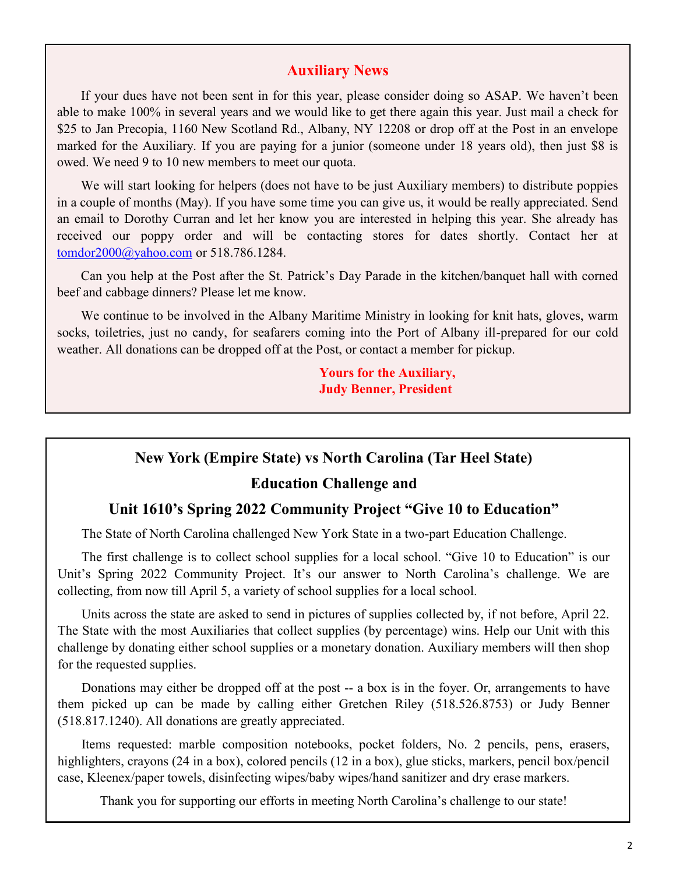#### **Auxiliary News**

If your dues have not been sent in for this year, please consider doing so ASAP. We haven't been able to make 100% in several years and we would like to get there again this year. Just mail a check for \$25 to Jan Precopia, 1160 New Scotland Rd., Albany, NY 12208 or drop off at the Post in an envelope marked for the Auxiliary. If you are paying for a junior (someone under 18 years old), then just \$8 is owed. We need 9 to 10 new members to meet our quota.

We will start looking for helpers (does not have to be just Auxiliary members) to distribute poppies in a couple of months (May). If you have some time you can give us, it would be really appreciated. Send an email to Dorothy Curran and let her know you are interested in helping this year. She already has received our poppy order and will be contacting stores for dates shortly. Contact her at [tomdor2000@yahoo.com](mailto:tomdor2000@yahoo.com) or 518.786.1284.

Can you help at the Post after the St. Patrick's Day Parade in the kitchen/banquet hall with corned beef and cabbage dinners? Please let me know.

We continue to be involved in the Albany Maritime Ministry in looking for knit hats, gloves, warm socks, toiletries, just no candy, for seafarers coming into the Port of Albany ill-prepared for our cold weather. All donations can be dropped off at the Post, or contact a member for pickup.

> **Yours for the Auxiliary, Judy Benner, President**

#### **New York (Empire State) vs North Carolina (Tar Heel State)**

#### **Education Challenge and**

#### **Unit 1610's Spring 2022 Community Project "Give 10 to Education"**

The State of North Carolina challenged New York State in a two-part Education Challenge.

The first challenge is to collect school supplies for a local school. "Give 10 to Education" is our Unit's Spring 2022 Community Project. It's our answer to North Carolina's challenge. We are collecting, from now till April 5, a variety of school supplies for a local school.

Units across the state are asked to send in pictures of supplies collected by, if not before, April 22. The State with the most Auxiliaries that collect supplies (by percentage) wins. Help our Unit with this challenge by donating either school supplies or a monetary donation. Auxiliary members will then shop for the requested supplies.

Donations may either be dropped off at the post -- a box is in the foyer. Or, arrangements to have them picked up can be made by calling either Gretchen Riley (518.526.8753) or Judy Benner (518.817.1240). All donations are greatly appreciated.

Items requested: marble composition notebooks, pocket folders, No. 2 pencils, pens, erasers, highlighters, crayons (24 in a box), colored pencils (12 in a box), glue sticks, markers, pencil box/pencil case, Kleenex/paper towels, disinfecting wipes/baby wipes/hand sanitizer and dry erase markers.

Thank you for supporting our efforts in meeting North Carolina's challenge to our state!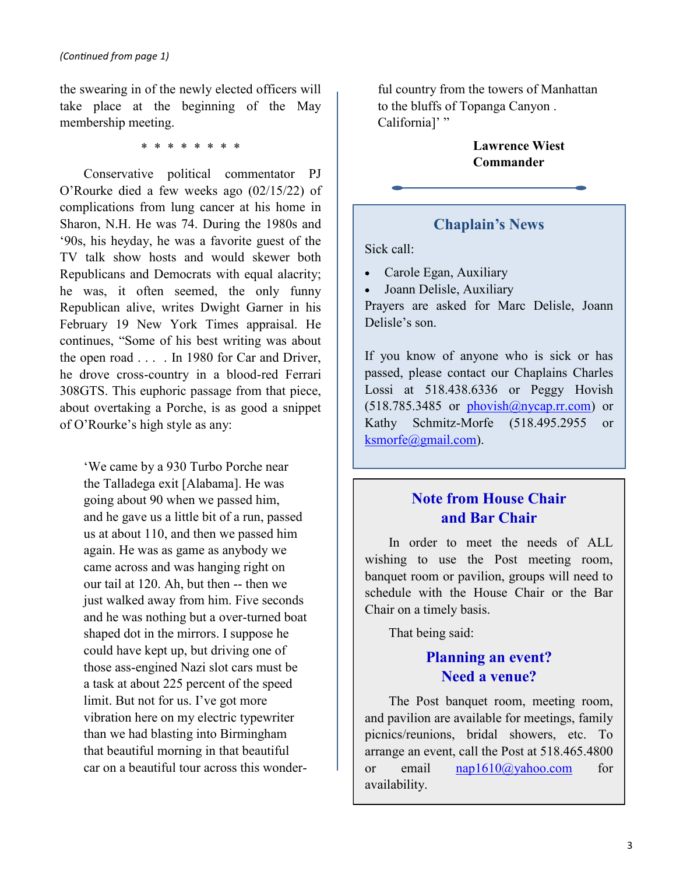the swearing in of the newly elected officers will take place at the beginning of the May membership meeting.

\* \* \* \* \* \* \* \*

Conservative political commentator PJ O'Rourke died a few weeks ago (02/15/22) of complications from lung cancer at his home in Sharon, N.H. He was 74. During the 1980s and '90s, his heyday, he was a favorite guest of the TV talk show hosts and would skewer both Republicans and Democrats with equal alacrity; he was, it often seemed, the only funny Republican alive, writes Dwight Garner in his February 19 New York Times appraisal. He continues, "Some of his best writing was about the open road . . . . In 1980 for Car and Driver, he drove cross-country in a blood-red Ferrari 308GTS. This euphoric passage from that piece, about overtaking a Porche, is as good a snippet of O'Rourke's high style as any:

'We came by a 930 Turbo Porche near the Talladega exit [Alabama]. He was going about 90 when we passed him, and he gave us a little bit of a run, passed us at about 110, and then we passed him again. He was as game as anybody we came across and was hanging right on our tail at 120. Ah, but then -- then we just walked away from him. Five seconds and he was nothing but a over-turned boat shaped dot in the mirrors. I suppose he could have kept up, but driving one of those ass-engined Nazi slot cars must be a task at about 225 percent of the speed limit. But not for us. I've got more vibration here on my electric typewriter than we had blasting into Birmingham that beautiful morning in that beautiful car on a beautiful tour across this wonderful country from the towers of Manhattan to the bluffs of Topanga Canyon . California]' "

> **Lawrence Wiest Commander**

### **Chaplain's News**

Sick call:

- Carole Egan, Auxiliary
- Joann Delisle, Auxiliary

Prayers are asked for Marc Delisle, Joann Delisle's son.

If you know of anyone who is sick or has passed, please contact our Chaplains Charles Lossi at 518.438.6336 or Peggy Hovish  $(518.785.3485$  or phovish $@n$ ycap.rr.com) or Kathy Schmitz-Morfe (518.495.2955 or [ksmorfe@gmail.com\).](mailto:ksmorfe@gmail.com)

# **Note from House Chair and Bar Chair**

In order to meet the needs of ALL wishing to use the Post meeting room, banquet room or pavilion, groups will need to schedule with the House Chair or the Bar Chair on a timely basis.

That being said:

# **Planning an event? Need a venue?**

The Post banquet room, meeting room, and pavilion are available for meetings, family picnics/reunions, bridal showers, etc. To arrange an event, call the Post at 518.465.4800 or email [nap1610@yahoo.com](mailto:nap1610@yahoo.com) for availability.